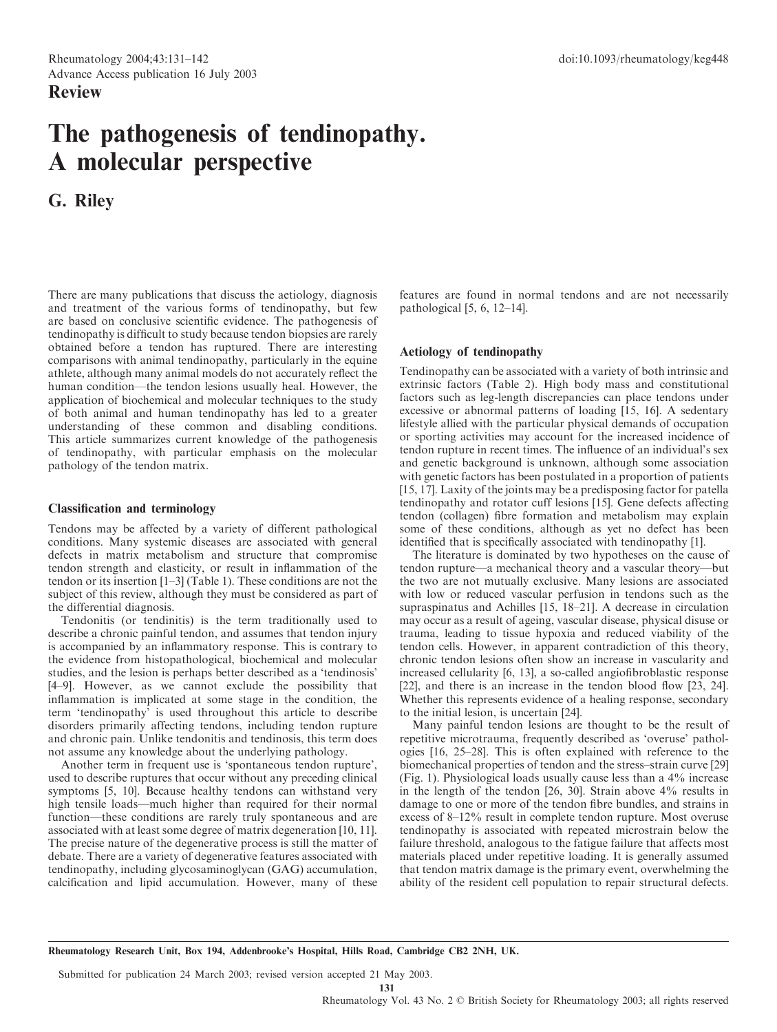# The pathogenesis of tendinopathy. A molecular perspective

G. Riley

There are many publications that discuss the aetiology, diagnosis and treatment of the various forms of tendinopathy, but few are based on conclusive scientific evidence. The pathogenesis of tendinopathy is difficult to study because tendon biopsies are rarely obtained before a tendon has ruptured. There are interesting comparisons with animal tendinopathy, particularly in the equine athlete, although many animal models do not accurately reflect the human condition—the tendon lesions usually heal. However, the application of biochemical and molecular techniques to the study of both animal and human tendinopathy has led to a greater understanding of these common and disabling conditions. This article summarizes current knowledge of the pathogenesis of tendinopathy, with particular emphasis on the molecular pathology of the tendon matrix.

# Classification and terminology

Tendons may be affected by a variety of different pathological conditions. Many systemic diseases are associated with general defects in matrix metabolism and structure that compromise tendon strength and elasticity, or result in inflammation of the tendon or its insertion [1–3] (Table 1). These conditions are not the subject of this review, although they must be considered as part of the differential diagnosis.

Tendonitis (or tendinitis) is the term traditionally used to describe a chronic painful tendon, and assumes that tendon injury is accompanied by an inflammatory response. This is contrary to the evidence from histopathological, biochemical and molecular studies, and the lesion is perhaps better described as a 'tendinosis' [4–9]. However, as we cannot exclude the possibility that inflammation is implicated at some stage in the condition, the term 'tendinopathy' is used throughout this article to describe disorders primarily affecting tendons, including tendon rupture and chronic pain. Unlike tendonitis and tendinosis, this term does not assume any knowledge about the underlying pathology.

Another term in frequent use is 'spontaneous tendon rupture', used to describe ruptures that occur without any preceding clinical symptoms [5, 10]. Because healthy tendons can withstand very high tensile loads—much higher than required for their normal function—these conditions are rarely truly spontaneous and are associated with at least some degree of matrix degeneration [10, 11]. The precise nature of the degenerative process is still the matter of debate. There are a variety of degenerative features associated with tendinopathy, including glycosaminoglycan (GAG) accumulation, calcification and lipid accumulation. However, many of these

features are found in normal tendons and are not necessarily pathological [5, 6, 12–14].

# Aetiology of tendinopathy

Tendinopathy can be associated with a variety of both intrinsic and extrinsic factors (Table 2). High body mass and constitutional factors such as leg-length discrepancies can place tendons under excessive or abnormal patterns of loading [15, 16]. A sedentary lifestyle allied with the particular physical demands of occupation or sporting activities may account for the increased incidence of tendon rupture in recent times. The influence of an individual's sex and genetic background is unknown, although some association with genetic factors has been postulated in a proportion of patients [15, 17]. Laxity of the joints may be a predisposing factor for patella tendinopathy and rotator cuff lesions [15]. Gene defects affecting tendon (collagen) fibre formation and metabolism may explain some of these conditions, although as yet no defect has been identified that is specifically associated with tendinopathy [1].

The literature is dominated by two hypotheses on the cause of tendon rupture—a mechanical theory and a vascular theory—but the two are not mutually exclusive. Many lesions are associated with low or reduced vascular perfusion in tendons such as the supraspinatus and Achilles [15, 18–21]. A decrease in circulation may occur as a result of ageing, vascular disease, physical disuse or trauma, leading to tissue hypoxia and reduced viability of the tendon cells. However, in apparent contradiction of this theory, chronic tendon lesions often show an increase in vascularity and increased cellularity [6, 13], a so-called angiofibroblastic response [22], and there is an increase in the tendon blood flow [23, 24]. Whether this represents evidence of a healing response, secondary to the initial lesion, is uncertain [24].

Many painful tendon lesions are thought to be the result of repetitive microtrauma, frequently described as 'overuse' pathologies [16, 25–28]. This is often explained with reference to the biomechanical properties of tendon and the stress–strain curve [29] (Fig. 1). Physiological loads usually cause less than a 4% increase in the length of the tendon [26, 30]. Strain above 4% results in damage to one or more of the tendon fibre bundles, and strains in excess of 8–12% result in complete tendon rupture. Most overuse tendinopathy is associated with repeated microstrain below the failure threshold, analogous to the fatigue failure that affects most materials placed under repetitive loading. It is generally assumed that tendon matrix damage is the primary event, overwhelming the ability of the resident cell population to repair structural defects.

Rheumatology Research Unit, Box 194, Addenbrooke's Hospital, Hills Road, Cambridge CB2 2NH, UK.

Submitted for publication 24 March 2003; revised version accepted 21 May 2003.

131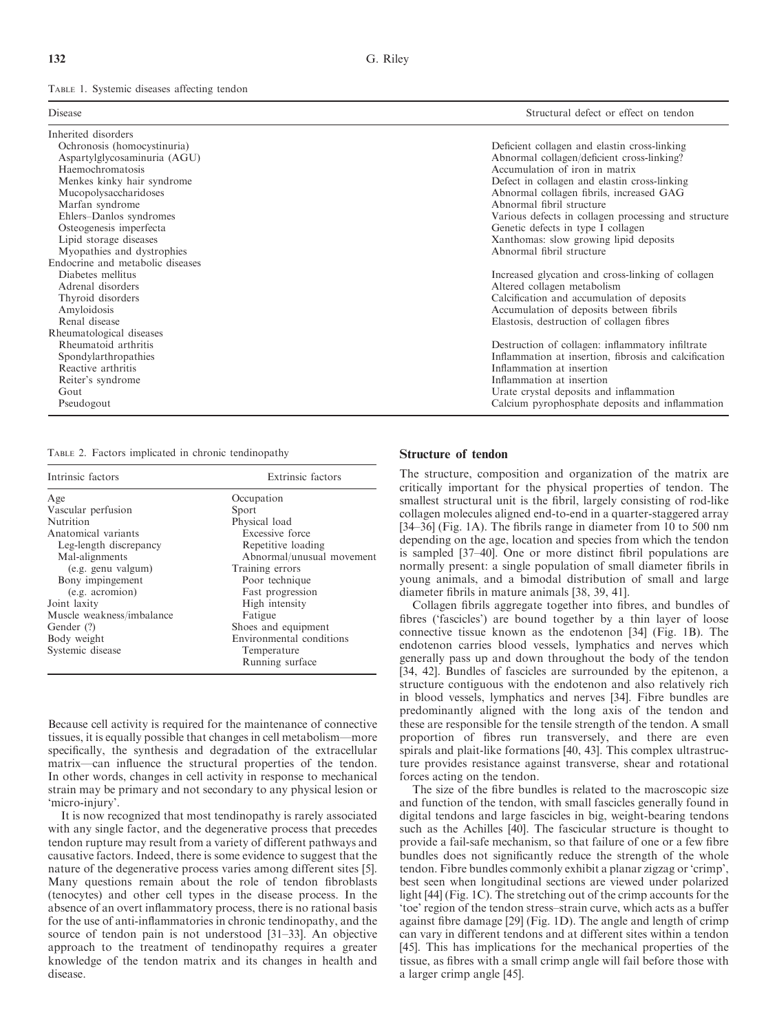TABLE 1. Systemic diseases affecting tendon

| 132 | G. Riley |
|-----|----------|
|     |          |

| Disease                          | Structural defect or effect on tendon                 |
|----------------------------------|-------------------------------------------------------|
| Inherited disorders              |                                                       |
| Ochronosis (homocystinuria)      | Deficient collagen and elastin cross-linking          |
| Aspartylglycosaminuria (AGU)     | Abnormal collagen/deficient cross-linking?            |
| Haemochromatosis                 | Accumulation of iron in matrix                        |
| Menkes kinky hair syndrome       | Defect in collagen and elastin cross-linking          |
| Mucopolysaccharidoses            | Abnormal collagen fibrils, increased GAG              |
| Marfan syndrome                  | Abnormal fibril structure                             |
| Ehlers-Danlos syndromes          | Various defects in collagen processing and structure  |
| Osteogenesis imperfecta          | Genetic defects in type I collagen                    |
| Lipid storage diseases           | Xanthomas: slow growing lipid deposits                |
| Myopathies and dystrophies       | Abnormal fibril structure                             |
| Endocrine and metabolic diseases |                                                       |
| Diabetes mellitus                | Increased glycation and cross-linking of collagen     |
| Adrenal disorders                | Altered collagen metabolism                           |
| Thyroid disorders                | Calcification and accumulation of deposits            |
| Amyloidosis                      | Accumulation of deposits between fibrils              |
| Renal disease                    | Elastosis, destruction of collagen fibres             |
| Rheumatological diseases         |                                                       |
| Rheumatoid arthritis             | Destruction of collagen: inflammatory infiltrate      |
| Spondylarthropathies             | Inflammation at insertion, fibrosis and calcification |
| Reactive arthritis               | Inflammation at insertion                             |
| Reiter's syndrome                | Inflammation at insertion                             |
| Gout                             | Urate crystal deposits and inflammation               |
| Pseudogout                       | Calcium pyrophosphate deposits and inflammation       |
|                                  |                                                       |

TABLE 2. Factors implicated in chronic tendinopathy

| Intrinsic factors         | Extrinsic factors         |
|---------------------------|---------------------------|
| Age                       | Occupation                |
| Vascular perfusion        | Sport                     |
| Nutrition                 | Physical load             |
| Anatomical variants       | Excessive force           |
| Leg-length discrepancy    | Repetitive loading        |
| Mal-alignments            | Abnormal/unusual movement |
| (e.g. genu valgum)        | Training errors           |
| Bony impingement          | Poor technique            |
| (e.g. acromion)           | Fast progression          |
| Joint laxity              | High intensity            |
| Muscle weakness/imbalance | Fatigue                   |
| Gender (?)                | Shoes and equipment       |
| Body weight               | Environmental conditions  |
| Systemic disease          | Temperature               |
|                           | Running surface           |

Because cell activity is required for the maintenance of connective tissues, it is equally possible that changes in cell metabolism—more specifically, the synthesis and degradation of the extracellular matrix—can influence the structural properties of the tendon. In other words, changes in cell activity in response to mechanical strain may be primary and not secondary to any physical lesion or 'micro-injury'.

It is now recognized that most tendinopathy is rarely associated with any single factor, and the degenerative process that precedes tendon rupture may result from a variety of different pathways and causative factors. Indeed, there is some evidence to suggest that the nature of the degenerative process varies among different sites [5]. Many questions remain about the role of tendon fibroblasts (tenocytes) and other cell types in the disease process. In the absence of an overt inflammatory process, there is no rational basis for the use of anti-inflammatories in chronic tendinopathy, and the source of tendon pain is not understood [31–33]. An objective approach to the treatment of tendinopathy requires a greater knowledge of the tendon matrix and its changes in health and disease.

# Structure of tendon

The structure, composition and organization of the matrix are critically important for the physical properties of tendon. The smallest structural unit is the fibril, largely consisting of rod-like collagen molecules aligned end-to-end in a quarter-staggered array [34–36] (Fig. 1A). The fibrils range in diameter from 10 to 500 nm depending on the age, location and species from which the tendon is sampled [37–40]. One or more distinct fibril populations are normally present: a single population of small diameter fibrils in young animals, and a bimodal distribution of small and large diameter fibrils in mature animals [38, 39, 41].

Collagen fibrils aggregate together into fibres, and bundles of fibres ('fascicles') are bound together by a thin layer of loose connective tissue known as the endotenon [34] (Fig. 1B). The endotenon carries blood vessels, lymphatics and nerves which generally pass up and down throughout the body of the tendon [34, 42]. Bundles of fascicles are surrounded by the epitenon, a structure contiguous with the endotenon and also relatively rich in blood vessels, lymphatics and nerves [34]. Fibre bundles are predominantly aligned with the long axis of the tendon and these are responsible for the tensile strength of the tendon. A small proportion of fibres run transversely, and there are even spirals and plait-like formations [40, 43]. This complex ultrastructure provides resistance against transverse, shear and rotational forces acting on the tendon.

The size of the fibre bundles is related to the macroscopic size and function of the tendon, with small fascicles generally found in digital tendons and large fascicles in big, weight-bearing tendons such as the Achilles [40]. The fascicular structure is thought to provide a fail-safe mechanism, so that failure of one or a few fibre bundles does not significantly reduce the strength of the whole tendon. Fibre bundles commonly exhibit a planar zigzag or 'crimp', best seen when longitudinal sections are viewed under polarized light [44] (Fig. 1C). The stretching out of the crimp accounts for the 'toe' region of the tendon stress–strain curve, which acts as a buffer against fibre damage [29] (Fig. 1D). The angle and length of crimp can vary in different tendons and at different sites within a tendon [45]. This has implications for the mechanical properties of the tissue, as fibres with a small crimp angle will fail before those with a larger crimp angle [45].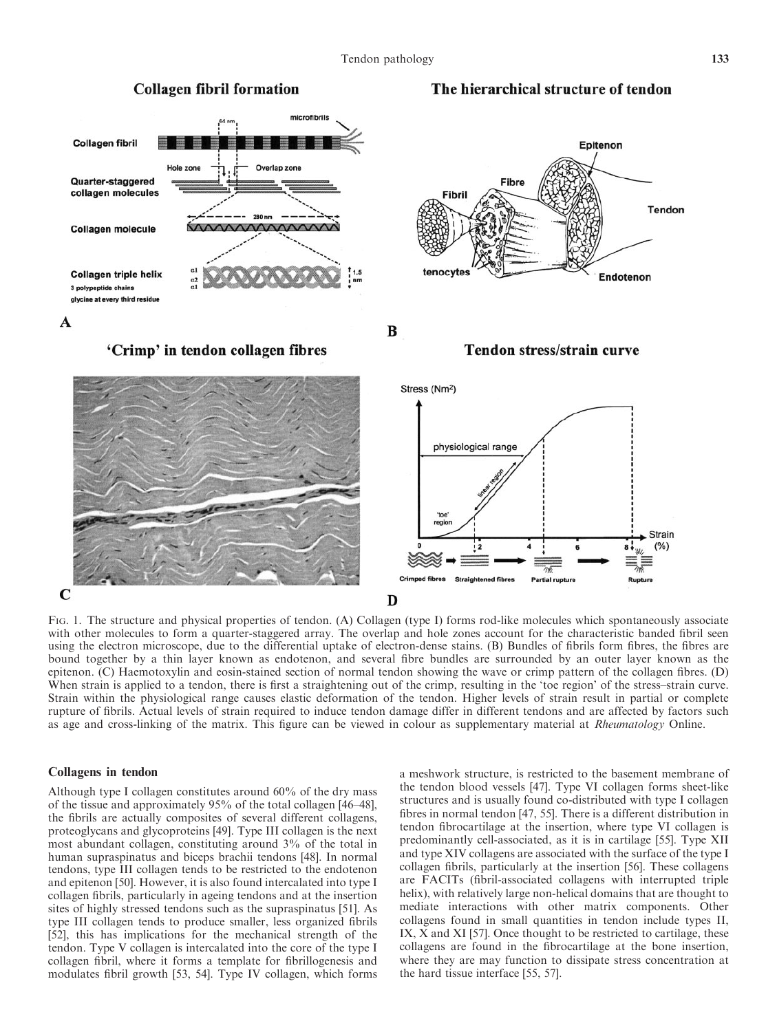# microfibrils **Collagen fibril** Epitenon Overlan zon Quarter-staggered Fibre collagen molecules Fibril Tendon MAAAAAAAAAAA **Collagen molecule** tenocytes **Collagen triple helix Endotenon** 3 polypeptide chains glycine at every third residue A R 'Crimp' in tendon collagen fibres **Tendon stress/strain curve** Stress (Nm<sup>2</sup>) physiological range Strain  $(%)$ **Crimped fibres Straightened fibres Partial ruptu**  $\mathbf C$ D

FIG. 1. The structure and physical properties of tendon. (A) Collagen (type I) forms rod-like molecules which spontaneously associate with other molecules to form a quarter-staggered array. The overlap and hole zones account for the characteristic banded fibril seen using the electron microscope, due to the differential uptake of electron-dense stains. (B) Bundles of fibrils form fibres, the fibres are bound together by a thin layer known as endotenon, and several fibre bundles are surrounded by an outer layer known as the epitenon. (C) Haemotoxylin and eosin-stained section of normal tendon showing the wave or crimp pattern of the collagen fibres. (D) When strain is applied to a tendon, there is first a straightening out of the crimp, resulting in the 'toe region' of the stress–strain curve. Strain within the physiological range causes elastic deformation of the tendon. Higher levels of strain result in partial or complete rupture of fibrils. Actual levels of strain required to induce tendon damage differ in different tendons and are affected by factors such as age and cross-linking of the matrix. This figure can be viewed in colour as supplementary material at Rheumatology Online.

# Collagens in tendon

Although type I collagen constitutes around 60% of the dry mass of the tissue and approximately 95% of the total collagen [46–48], the fibrils are actually composites of several different collagens, proteoglycans and glycoproteins [49]. Type III collagen is the next most abundant collagen, constituting around 3% of the total in human supraspinatus and biceps brachii tendons [48]. In normal tendons, type III collagen tends to be restricted to the endotenon and epitenon [50]. However, it is also found intercalated into type I collagen fibrils, particularly in ageing tendons and at the insertion sites of highly stressed tendons such as the supraspinatus [51]. As type III collagen tends to produce smaller, less organized fibrils [52], this has implications for the mechanical strength of the tendon. Type V collagen is intercalated into the core of the type I collagen fibril, where it forms a template for fibrillogenesis and modulates fibril growth [53, 54]. Type IV collagen, which forms

**Collagen fibril formation** 

a meshwork structure, is restricted to the basement membrane of the tendon blood vessels [47]. Type VI collagen forms sheet-like structures and is usually found co-distributed with type I collagen fibres in normal tendon [47, 55]. There is a different distribution in tendon fibrocartilage at the insertion, where type VI collagen is predominantly cell-associated, as it is in cartilage [55]. Type XII and type XIV collagens are associated with the surface of the type I collagen fibrils, particularly at the insertion [56]. These collagens are FACITs (fibril-associated collagens with interrupted triple helix), with relatively large non-helical domains that are thought to mediate interactions with other matrix components. Other collagens found in small quantities in tendon include types II, IX, X and XI [57]. Once thought to be restricted to cartilage, these collagens are found in the fibrocartilage at the bone insertion, where they are may function to dissipate stress concentration at the hard tissue interface [55, 57].

# The hierarchical structure of tendon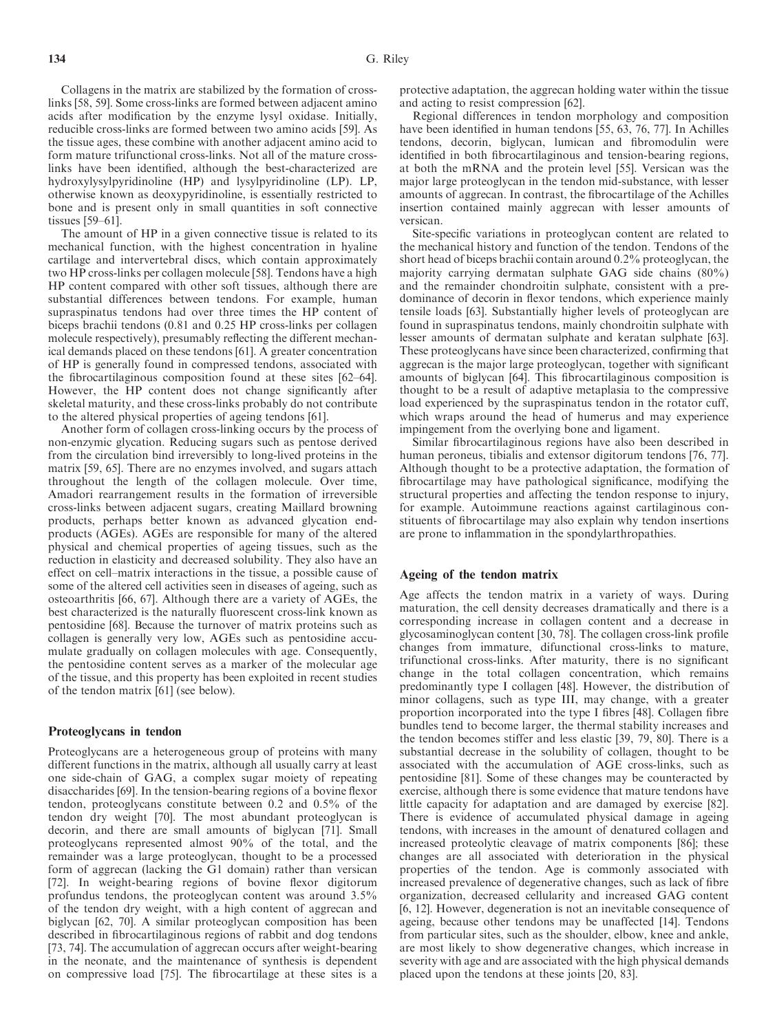Collagens in the matrix are stabilized by the formation of crosslinks [58, 59]. Some cross-links are formed between adjacent amino acids after modification by the enzyme lysyl oxidase. Initially, reducible cross-links are formed between two amino acids [59]. As the tissue ages, these combine with another adjacent amino acid to form mature trifunctional cross-links. Not all of the mature crosslinks have been identified, although the best-characterized are hydroxylysylpyridinoline (HP) and lysylpyridinoline (LP). LP, otherwise known as deoxypyridinoline, is essentially restricted to bone and is present only in small quantities in soft connective tissues [59–61].

The amount of HP in a given connective tissue is related to its mechanical function, with the highest concentration in hyaline cartilage and intervertebral discs, which contain approximately two HP cross-links per collagen molecule [58]. Tendons have a high HP content compared with other soft tissues, although there are substantial differences between tendons. For example, human supraspinatus tendons had over three times the HP content of biceps brachii tendons (0.81 and 0.25 HP cross-links per collagen molecule respectively), presumably reflecting the different mechanical demands placed on these tendons [61]. A greater concentration of HP is generally found in compressed tendons, associated with the fibrocartilaginous composition found at these sites [62–64]. However, the HP content does not change significantly after skeletal maturity, and these cross-links probably do not contribute to the altered physical properties of ageing tendons [61].

Another form of collagen cross-linking occurs by the process of non-enzymic glycation. Reducing sugars such as pentose derived from the circulation bind irreversibly to long-lived proteins in the matrix [59, 65]. There are no enzymes involved, and sugars attach throughout the length of the collagen molecule. Over time, Amadori rearrangement results in the formation of irreversible cross-links between adjacent sugars, creating Maillard browning products, perhaps better known as advanced glycation endproducts (AGEs). AGEs are responsible for many of the altered physical and chemical properties of ageing tissues, such as the reduction in elasticity and decreased solubility. They also have an effect on cell–matrix interactions in the tissue, a possible cause of some of the altered cell activities seen in diseases of ageing, such as osteoarthritis [66, 67]. Although there are a variety of AGEs, the best characterized is the naturally fluorescent cross-link known as pentosidine [68]. Because the turnover of matrix proteins such as collagen is generally very low, AGEs such as pentosidine accumulate gradually on collagen molecules with age. Consequently, the pentosidine content serves as a marker of the molecular age of the tissue, and this property has been exploited in recent studies of the tendon matrix [61] (see below).

#### Proteoglycans in tendon

Proteoglycans are a heterogeneous group of proteins with many different functions in the matrix, although all usually carry at least one side-chain of GAG, a complex sugar moiety of repeating disaccharides [69]. In the tension-bearing regions of a bovine flexor tendon, proteoglycans constitute between 0.2 and 0.5% of the tendon dry weight [70]. The most abundant proteoglycan is decorin, and there are small amounts of biglycan [71]. Small proteoglycans represented almost 90% of the total, and the remainder was a large proteoglycan, thought to be a processed form of aggrecan (lacking the G1 domain) rather than versican [72]. In weight-bearing regions of bovine flexor digitorum profundus tendons, the proteoglycan content was around 3.5% of the tendon dry weight, with a high content of aggrecan and biglycan [62, 70]. A similar proteoglycan composition has been described in fibrocartilaginous regions of rabbit and dog tendons [73, 74]. The accumulation of aggrecan occurs after weight-bearing in the neonate, and the maintenance of synthesis is dependent on compressive load [75]. The fibrocartilage at these sites is a protective adaptation, the aggrecan holding water within the tissue and acting to resist compression [62].

Regional differences in tendon morphology and composition have been identified in human tendons [55, 63, 76, 77]. In Achilles tendons, decorin, biglycan, lumican and fibromodulin were identified in both fibrocartilaginous and tension-bearing regions, at both the mRNA and the protein level [55]. Versican was the major large proteoglycan in the tendon mid-substance, with lesser amounts of aggrecan. In contrast, the fibrocartilage of the Achilles insertion contained mainly aggrecan with lesser amounts of versican.

Site-specific variations in proteoglycan content are related to the mechanical history and function of the tendon. Tendons of the short head of biceps brachii contain around 0.2% proteoglycan, the majority carrying dermatan sulphate GAG side chains (80%) and the remainder chondroitin sulphate, consistent with a predominance of decorin in flexor tendons, which experience mainly tensile loads [63]. Substantially higher levels of proteoglycan are found in supraspinatus tendons, mainly chondroitin sulphate with lesser amounts of dermatan sulphate and keratan sulphate [63]. These proteoglycans have since been characterized, confirming that aggrecan is the major large proteoglycan, together with significant amounts of biglycan [64]. This fibrocartilaginous composition is thought to be a result of adaptive metaplasia to the compressive load experienced by the supraspinatus tendon in the rotator cuff, which wraps around the head of humerus and may experience impingement from the overlying bone and ligament.

Similar fibrocartilaginous regions have also been described in human peroneus, tibialis and extensor digitorum tendons [76, 77]. Although thought to be a protective adaptation, the formation of fibrocartilage may have pathological significance, modifying the structural properties and affecting the tendon response to injury, for example. Autoimmune reactions against cartilaginous constituents of fibrocartilage may also explain why tendon insertions are prone to inflammation in the spondylarthropathies.

# Ageing of the tendon matrix

Age affects the tendon matrix in a variety of ways. During maturation, the cell density decreases dramatically and there is a corresponding increase in collagen content and a decrease in glycosaminoglycan content [30, 78]. The collagen cross-link profile changes from immature, difunctional cross-links to mature, trifunctional cross-links. After maturity, there is no significant change in the total collagen concentration, which remains predominantly type I collagen [48]. However, the distribution of minor collagens, such as type III, may change, with a greater proportion incorporated into the type I fibres [48]. Collagen fibre bundles tend to become larger, the thermal stability increases and the tendon becomes stiffer and less elastic [39, 79, 80]. There is a substantial decrease in the solubility of collagen, thought to be associated with the accumulation of AGE cross-links, such as pentosidine [81]. Some of these changes may be counteracted by exercise, although there is some evidence that mature tendons have little capacity for adaptation and are damaged by exercise [82]. There is evidence of accumulated physical damage in ageing tendons, with increases in the amount of denatured collagen and increased proteolytic cleavage of matrix components [86]; these changes are all associated with deterioration in the physical properties of the tendon. Age is commonly associated with increased prevalence of degenerative changes, such as lack of fibre organization, decreased cellularity and increased GAG content [6, 12]. However, degeneration is not an inevitable consequence of ageing, because other tendons may be unaffected [14]. Tendons from particular sites, such as the shoulder, elbow, knee and ankle, are most likely to show degenerative changes, which increase in severity with age and are associated with the high physical demands placed upon the tendons at these joints [20, 83].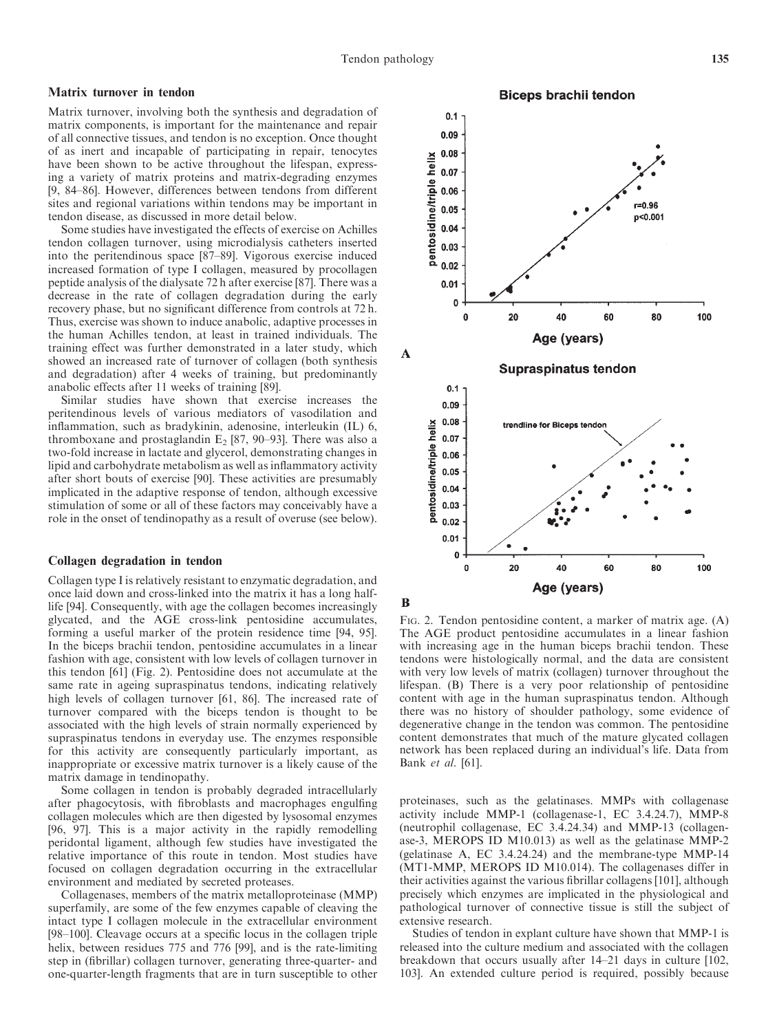$0.1$ 

#### Matrix turnover in tendon

Matrix turnover, involving both the synthesis and degradation of matrix components, is important for the maintenance and repair of all connective tissues, and tendon is no exception. Once thought of as inert and incapable of participating in repair, tenocytes have been shown to be active throughout the lifespan, expressing a variety of matrix proteins and matrix-degrading enzymes [9, 84–86]. However, differences between tendons from different sites and regional variations within tendons may be important in tendon disease, as discussed in more detail below.

Some studies have investigated the effects of exercise on Achilles tendon collagen turnover, using microdialysis catheters inserted into the peritendinous space [87–89]. Vigorous exercise induced increased formation of type I collagen, measured by procollagen peptide analysis of the dialysate 72 h after exercise [87]. There was a decrease in the rate of collagen degradation during the early recovery phase, but no significant difference from controls at 72 h. Thus, exercise was shown to induce anabolic, adaptive processes in the human Achilles tendon, at least in trained individuals. The training effect was further demonstrated in a later study, which showed an increased rate of turnover of collagen (both synthesis and degradation) after 4 weeks of training, but predominantly anabolic effects after 11 weeks of training [89].

Similar studies have shown that exercise increases the peritendinous levels of various mediators of vasodilation and inflammation, such as bradykinin, adenosine, interleukin (IL) 6, thromboxane and prostaglandin  $E_2$  [87, 90–93]. There was also a two-fold increase in lactate and glycerol, demonstrating changes in lipid and carbohydrate metabolism as well as inflammatory activity after short bouts of exercise [90]. These activities are presumably implicated in the adaptive response of tendon, although excessive stimulation of some or all of these factors may conceivably have a role in the onset of tendinopathy as a result of overuse (see below).

# Collagen degradation in tendon

Collagen type I is relatively resistant to enzymatic degradation, and once laid down and cross-linked into the matrix it has a long halflife [94]. Consequently, with age the collagen becomes increasingly glycated, and the AGE cross-link pentosidine accumulates, forming a useful marker of the protein residence time [94, 95]. In the biceps brachii tendon, pentosidine accumulates in a linear fashion with age, consistent with low levels of collagen turnover in this tendon [61] (Fig. 2). Pentosidine does not accumulate at the same rate in ageing supraspinatus tendons, indicating relatively high levels of collagen turnover [61, 86]. The increased rate of turnover compared with the biceps tendon is thought to be associated with the high levels of strain normally experienced by supraspinatus tendons in everyday use. The enzymes responsible for this activity are consequently particularly important, as inappropriate or excessive matrix turnover is a likely cause of the matrix damage in tendinopathy.

Some collagen in tendon is probably degraded intracellularly after phagocytosis, with fibroblasts and macrophages engulfing collagen molecules which are then digested by lysosomal enzymes [96, 97]. This is a major activity in the rapidly remodelling peridontal ligament, although few studies have investigated the relative importance of this route in tendon. Most studies have focused on collagen degradation occurring in the extracellular environment and mediated by secreted proteases.

Collagenases, members of the matrix metalloproteinase (MMP) superfamily, are some of the few enzymes capable of cleaving the intact type I collagen molecule in the extracellular environment [98–100]. Cleavage occurs at a specific locus in the collagen triple helix, between residues 775 and 776 [99], and is the rate-limiting step in (fibrillar) collagen turnover, generating three-quarter- and one-quarter-length fragments that are in turn susceptible to other

 $0.04$  $0.03$  $0.02$  $0.01$  $\bullet$  $\mathbf{a}$  $\mathbf 0$ 20 40 60 80 100 Age (years) FIG. 2. Tendon pentosidine content, a marker of matrix age. (A) The AGE product pentosidine accumulates in a linear fashion with increasing age in the human biceps brachii tendon. These tendons were histologically normal, and the data are consistent with very low levels of matrix (collagen) turnover throughout the lifespan. (B) There is a very poor relationship of pentosidine content with age in the human supraspinatus tendon. Although there was no history of shoulder pathology, some evidence of degenerative change in the tendon was common. The pentosidine content demonstrates that much of the mature glycated collagen network has been replaced during an individual's life. Data from Bank et al. [61].

proteinases, such as the gelatinases. MMPs with collagenase activity include MMP-1 (collagenase-1, EC 3.4.24.7), MMP-8 (neutrophil collagenase, EC 3.4.24.34) and MMP-13 (collagenase-3, MEROPS ID M10.013) as well as the gelatinase MMP-2 (gelatinase A, EC 3.4.24.24) and the membrane-type MMP-14 (MT1-MMP, MEROPS ID M10.014). The collagenases differ in their activities against the various fibrillar collagens [101], although precisely which enzymes are implicated in the physiological and pathological turnover of connective tissue is still the subject of extensive research.

Studies of tendon in explant culture have shown that MMP-1 is released into the culture medium and associated with the collagen breakdown that occurs usually after 14–21 days in culture [102, 103]. An extended culture period is required, possibly because



Biceps brachii tendon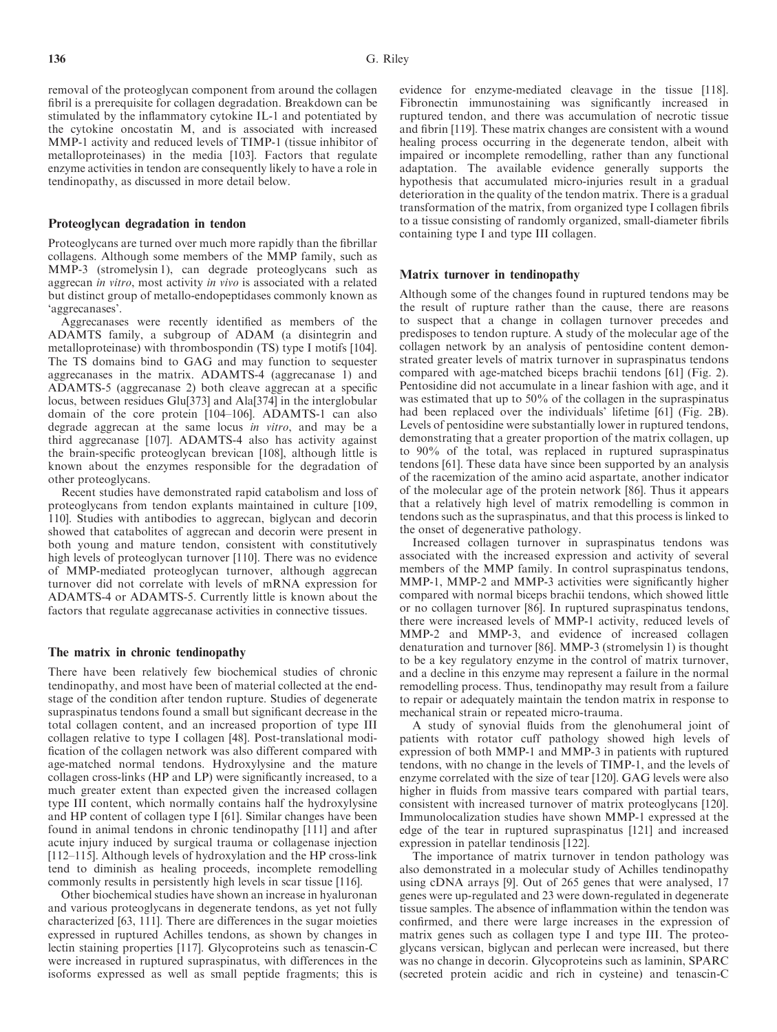removal of the proteoglycan component from around the collagen fibril is a prerequisite for collagen degradation. Breakdown can be stimulated by the inflammatory cytokine IL-1 and potentiated by the cytokine oncostatin M, and is associated with increased MMP-1 activity and reduced levels of TIMP-1 (tissue inhibitor of metalloproteinases) in the media [103]. Factors that regulate enzyme activities in tendon are consequently likely to have a role in tendinopathy, as discussed in more detail below.

#### Proteoglycan degradation in tendon

Proteoglycans are turned over much more rapidly than the fibrillar collagens. Although some members of the MMP family, such as MMP-3 (stromelysin 1), can degrade proteoglycans such as aggrecan in vitro, most activity in vivo is associated with a related but distinct group of metallo-endopeptidases commonly known as 'aggrecanases'.

Aggrecanases were recently identified as members of the ADAMTS family, a subgroup of ADAM (a disintegrin and metalloproteinase) with thrombospondin (TS) type I motifs [104]. The TS domains bind to GAG and may function to sequester aggrecanases in the matrix. ADAMTS-4 (aggrecanase 1) and ADAMTS-5 (aggrecanase 2) both cleave aggrecan at a specific locus, between residues Glu<sup>[373]</sup> and Ala<sup>[374]</sup> in the interglobular domain of the core protein [104–106]. ADAMTS-1 can also degrade aggrecan at the same locus in vitro, and may be a third aggrecanase [107]. ADAMTS-4 also has activity against the brain-specific proteoglycan brevican [108], although little is known about the enzymes responsible for the degradation of other proteoglycans.

Recent studies have demonstrated rapid catabolism and loss of proteoglycans from tendon explants maintained in culture [109, 110]. Studies with antibodies to aggrecan, biglycan and decorin showed that catabolites of aggrecan and decorin were present in both young and mature tendon, consistent with constitutively high levels of proteoglycan turnover [110]. There was no evidence of MMP-mediated proteoglycan turnover, although aggrecan turnover did not correlate with levels of mRNA expression for ADAMTS-4 or ADAMTS-5. Currently little is known about the factors that regulate aggrecanase activities in connective tissues.

#### The matrix in chronic tendinopathy

There have been relatively few biochemical studies of chronic tendinopathy, and most have been of material collected at the endstage of the condition after tendon rupture. Studies of degenerate supraspinatus tendons found a small but significant decrease in the total collagen content, and an increased proportion of type III collagen relative to type I collagen [48]. Post-translational modification of the collagen network was also different compared with age-matched normal tendons. Hydroxylysine and the mature collagen cross-links (HP and LP) were significantly increased, to a much greater extent than expected given the increased collagen type III content, which normally contains half the hydroxylysine and HP content of collagen type I [61]. Similar changes have been found in animal tendons in chronic tendinopathy [111] and after acute injury induced by surgical trauma or collagenase injection [112–115]. Although levels of hydroxylation and the HP cross-link tend to diminish as healing proceeds, incomplete remodelling commonly results in persistently high levels in scar tissue [116].

Other biochemical studies have shown an increase in hyaluronan and various proteoglycans in degenerate tendons, as yet not fully characterized [63, 111]. There are differences in the sugar moieties expressed in ruptured Achilles tendons, as shown by changes in lectin staining properties [117]. Glycoproteins such as tenascin-C were increased in ruptured supraspinatus, with differences in the isoforms expressed as well as small peptide fragments; this is evidence for enzyme-mediated cleavage in the tissue [118]. Fibronectin immunostaining was significantly increased in ruptured tendon, and there was accumulation of necrotic tissue and fibrin [119]. These matrix changes are consistent with a wound healing process occurring in the degenerate tendon, albeit with impaired or incomplete remodelling, rather than any functional adaptation. The available evidence generally supports the hypothesis that accumulated micro-injuries result in a gradual deterioration in the quality of the tendon matrix. There is a gradual transformation of the matrix, from organized type I collagen fibrils to a tissue consisting of randomly organized, small-diameter fibrils containing type I and type III collagen.

#### Matrix turnover in tendinopathy

Although some of the changes found in ruptured tendons may be the result of rupture rather than the cause, there are reasons to suspect that a change in collagen turnover precedes and predisposes to tendon rupture. A study of the molecular age of the collagen network by an analysis of pentosidine content demonstrated greater levels of matrix turnover in supraspinatus tendons compared with age-matched biceps brachii tendons [61] (Fig. 2). Pentosidine did not accumulate in a linear fashion with age, and it was estimated that up to 50% of the collagen in the supraspinatus had been replaced over the individuals' lifetime [61] (Fig. 2B). Levels of pentosidine were substantially lower in ruptured tendons, demonstrating that a greater proportion of the matrix collagen, up to 90% of the total, was replaced in ruptured supraspinatus tendons [61]. These data have since been supported by an analysis of the racemization of the amino acid aspartate, another indicator of the molecular age of the protein network [86]. Thus it appears that a relatively high level of matrix remodelling is common in tendons such as the supraspinatus, and that this process is linked to the onset of degenerative pathology.

Increased collagen turnover in supraspinatus tendons was associated with the increased expression and activity of several members of the MMP family. In control supraspinatus tendons, MMP-1, MMP-2 and MMP-3 activities were significantly higher compared with normal biceps brachii tendons, which showed little or no collagen turnover [86]. In ruptured supraspinatus tendons, there were increased levels of MMP-1 activity, reduced levels of MMP-2 and MMP-3, and evidence of increased collagen denaturation and turnover [86]. MMP-3 (stromelysin 1) is thought to be a key regulatory enzyme in the control of matrix turnover, and a decline in this enzyme may represent a failure in the normal remodelling process. Thus, tendinopathy may result from a failure to repair or adequately maintain the tendon matrix in response to mechanical strain or repeated micro-trauma.

A study of synovial fluids from the glenohumeral joint of patients with rotator cuff pathology showed high levels of expression of both MMP-1 and MMP-3 in patients with ruptured tendons, with no change in the levels of TIMP-1, and the levels of enzyme correlated with the size of tear [120]. GAG levels were also higher in fluids from massive tears compared with partial tears, consistent with increased turnover of matrix proteoglycans [120]. Immunolocalization studies have shown MMP-1 expressed at the edge of the tear in ruptured supraspinatus [121] and increased expression in patellar tendinosis [122].

The importance of matrix turnover in tendon pathology was also demonstrated in a molecular study of Achilles tendinopathy using cDNA arrays [9]. Out of 265 genes that were analysed, 17 genes were up-regulated and 23 were down-regulated in degenerate tissue samples. The absence of inflammation within the tendon was confirmed, and there were large increases in the expression of matrix genes such as collagen type I and type III. The proteoglycans versican, biglycan and perlecan were increased, but there was no change in decorin. Glycoproteins such as laminin, SPARC (secreted protein acidic and rich in cysteine) and tenascin-C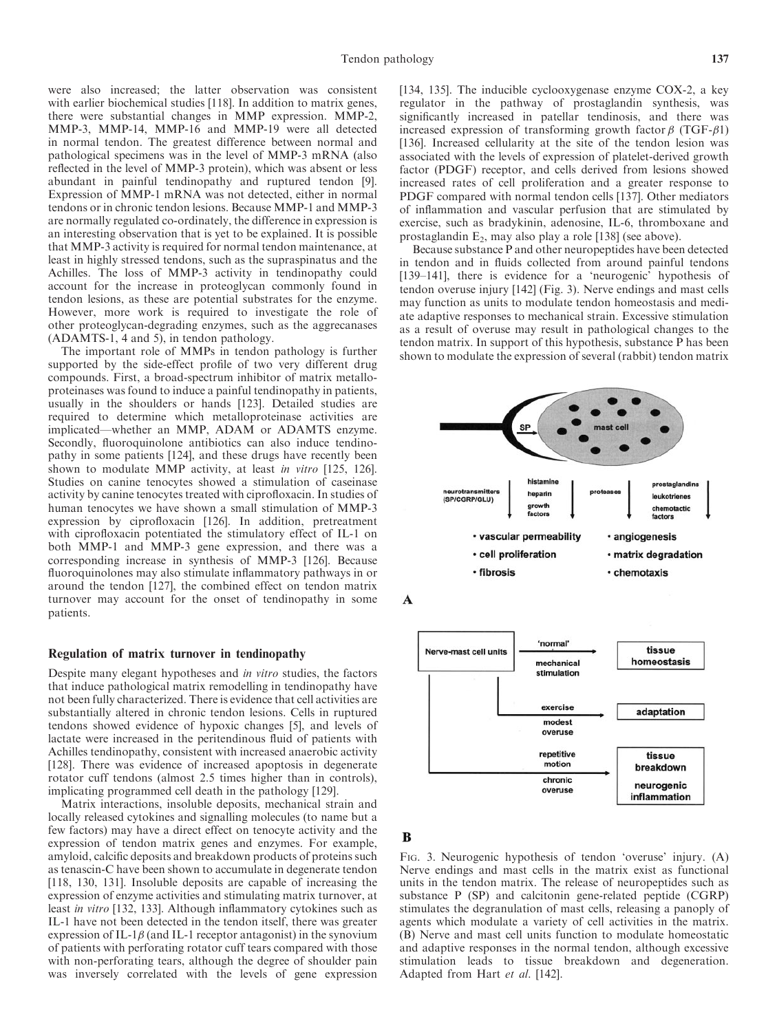were also increased; the latter observation was consistent with earlier biochemical studies [118]. In addition to matrix genes, there were substantial changes in MMP expression. MMP-2, MMP-3, MMP-14, MMP-16 and MMP-19 were all detected in normal tendon. The greatest difference between normal and pathological specimens was in the level of MMP-3 mRNA (also reflected in the level of MMP-3 protein), which was absent or less abundant in painful tendinopathy and ruptured tendon [9]. Expression of MMP-1 mRNA was not detected, either in normal tendons or in chronic tendon lesions. Because MMP-1 and MMP-3 are normally regulated co-ordinately, the difference in expression is an interesting observation that is yet to be explained. It is possible that MMP-3 activity is required for normal tendon maintenance, at least in highly stressed tendons, such as the supraspinatus and the Achilles. The loss of MMP-3 activity in tendinopathy could account for the increase in proteoglycan commonly found in tendon lesions, as these are potential substrates for the enzyme. However, more work is required to investigate the role of other proteoglycan-degrading enzymes, such as the aggrecanases (ADAMTS-1, 4 and 5), in tendon pathology.

The important role of MMPs in tendon pathology is further supported by the side-effect profile of two very different drug compounds. First, a broad-spectrum inhibitor of matrix metalloproteinases was found to induce a painful tendinopathy in patients, usually in the shoulders or hands [123]. Detailed studies are required to determine which metalloproteinase activities are implicated—whether an MMP, ADAM or ADAMTS enzyme. Secondly, fluoroquinolone antibiotics can also induce tendinopathy in some patients [124], and these drugs have recently been shown to modulate MMP activity, at least in vitro [125, 126]. Studies on canine tenocytes showed a stimulation of caseinase activity by canine tenocytes treated with ciprofloxacin. In studies of human tenocytes we have shown a small stimulation of MMP-3 expression by ciprofloxacin [126]. In addition, pretreatment with ciprofloxacin potentiated the stimulatory effect of IL-1 on both MMP-1 and MMP-3 gene expression, and there was a corresponding increase in synthesis of MMP-3 [126]. Because fluoroquinolones may also stimulate inflammatory pathways in or around the tendon [127], the combined effect on tendon matrix turnover may account for the onset of tendinopathy in some patients.

## Regulation of matrix turnover in tendinopathy

Despite many elegant hypotheses and in vitro studies, the factors that induce pathological matrix remodelling in tendinopathy have not been fully characterized. There is evidence that cell activities are substantially altered in chronic tendon lesions. Cells in ruptured tendons showed evidence of hypoxic changes [5], and levels of lactate were increased in the peritendinous fluid of patients with Achilles tendinopathy, consistent with increased anaerobic activity [128]. There was evidence of increased apoptosis in degenerate rotator cuff tendons (almost 2.5 times higher than in controls), implicating programmed cell death in the pathology [129].

Matrix interactions, insoluble deposits, mechanical strain and locally released cytokines and signalling molecules (to name but a few factors) may have a direct effect on tenocyte activity and the expression of tendon matrix genes and enzymes. For example, amyloid, calcific deposits and breakdown products of proteins such as tenascin-C have been shown to accumulate in degenerate tendon [118, 130, 131]. Insoluble deposits are capable of increasing the expression of enzyme activities and stimulating matrix turnover, at least in vitro [132, 133]. Although inflammatory cytokines such as IL-1 have not been detected in the tendon itself, there was greater expression of IL-1 $\beta$  (and IL-1 receptor antagonist) in the synovium of patients with perforating rotator cuff tears compared with those with non-perforating tears, although the degree of shoulder pain was inversely correlated with the levels of gene expression [134, 135]. The inducible cyclooxygenase enzyme COX-2, a key regulator in the pathway of prostaglandin synthesis, was significantly increased in patellar tendinosis, and there was increased expression of transforming growth factor  $\beta$  (TGF- $\beta$ 1) [136]. Increased cellularity at the site of the tendon lesion was associated with the levels of expression of platelet-derived growth factor (PDGF) receptor, and cells derived from lesions showed increased rates of cell proliferation and a greater response to PDGF compared with normal tendon cells [137]. Other mediators of inflammation and vascular perfusion that are stimulated by exercise, such as bradykinin, adenosine, IL-6, thromboxane and prostaglandin  $E_2$ , may also play a role [138] (see above).

Because substance P and other neuropeptides have been detected in tendon and in fluids collected from around painful tendons [139–141], there is evidence for a 'neurogenic' hypothesis of tendon overuse injury [142] (Fig. 3). Nerve endings and mast cells may function as units to modulate tendon homeostasis and mediate adaptive responses to mechanical strain. Excessive stimulation as a result of overuse may result in pathological changes to the tendon matrix. In support of this hypothesis, substance P has been shown to modulate the expression of several (rabbit) tendon matrix





B

FIG. 3. Neurogenic hypothesis of tendon 'overuse' injury. (A) Nerve endings and mast cells in the matrix exist as functional units in the tendon matrix. The release of neuropeptides such as substance P (SP) and calcitonin gene-related peptide (CGRP) stimulates the degranulation of mast cells, releasing a panoply of agents which modulate a variety of cell activities in the matrix. (B) Nerve and mast cell units function to modulate homeostatic and adaptive responses in the normal tendon, although excessive stimulation leads to tissue breakdown and degeneration. Adapted from Hart et al. [142].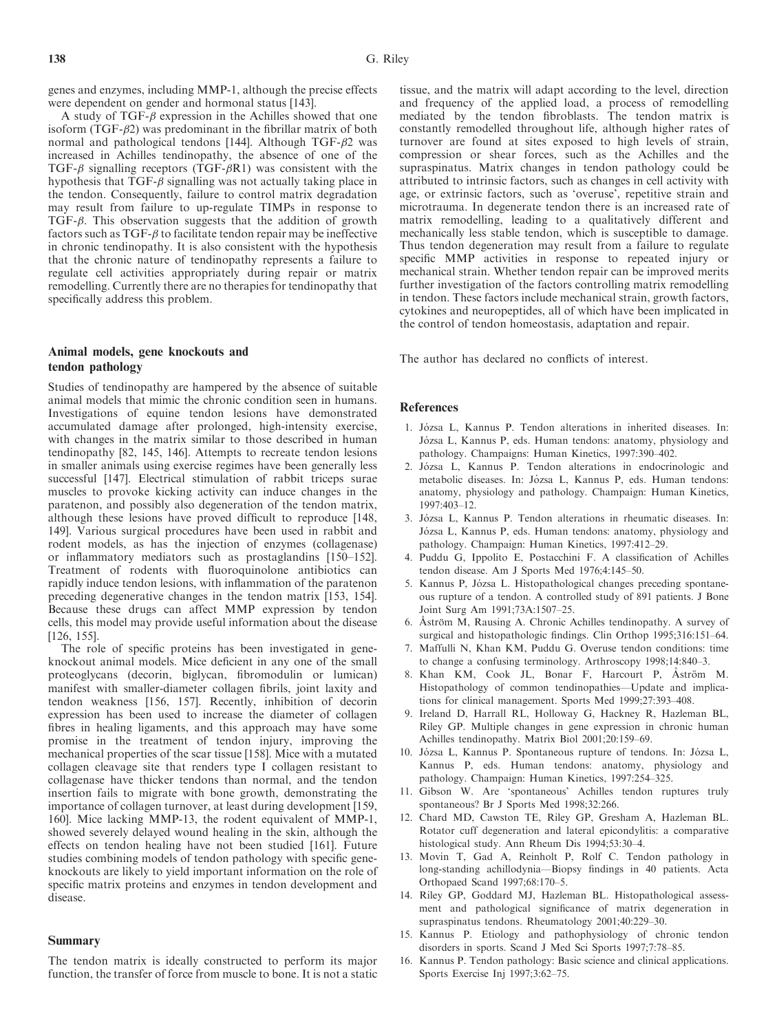genes and enzymes, including MMP-1, although the precise effects were dependent on gender and hormonal status [143].

A study of TGF- $\beta$  expression in the Achilles showed that one isoform  $(TGF- $\beta$ 2) was predominant in the fibrillar matrix of both$ normal and pathological tendons [144]. Although TGF- $\beta$ 2 was increased in Achilles tendinopathy, the absence of one of the TGF- $\beta$  signalling receptors (TGF- $\beta$ R1) was consistent with the hypothesis that  $TGF-\beta$  signalling was not actually taking place in the tendon. Consequently, failure to control matrix degradation may result from failure to up-regulate TIMPs in response to  $TGF- $\beta$ . This observation suggests that the addition of growth$ factors such as  $TGF-\beta$  to facilitate tendon repair may be ineffective in chronic tendinopathy. It is also consistent with the hypothesis that the chronic nature of tendinopathy represents a failure to regulate cell activities appropriately during repair or matrix remodelling. Currently there are no therapies for tendinopathy that specifically address this problem.

# Animal models, gene knockouts and tendon pathology

Studies of tendinopathy are hampered by the absence of suitable animal models that mimic the chronic condition seen in humans. Investigations of equine tendon lesions have demonstrated accumulated damage after prolonged, high-intensity exercise, with changes in the matrix similar to those described in human tendinopathy [82, 145, 146]. Attempts to recreate tendon lesions in smaller animals using exercise regimes have been generally less successful [147]. Electrical stimulation of rabbit triceps surae muscles to provoke kicking activity can induce changes in the paratenon, and possibly also degeneration of the tendon matrix, although these lesions have proved difficult to reproduce [148, 149]. Various surgical procedures have been used in rabbit and rodent models, as has the injection of enzymes (collagenase) or inflammatory mediators such as prostaglandins [150–152]. Treatment of rodents with fluoroquinolone antibiotics can rapidly induce tendon lesions, with inflammation of the paratenon preceding degenerative changes in the tendon matrix [153, 154]. Because these drugs can affect MMP expression by tendon cells, this model may provide useful information about the disease [126, 155].

The role of specific proteins has been investigated in geneknockout animal models. Mice deficient in any one of the small proteoglycans (decorin, biglycan, fibromodulin or lumican) manifest with smaller-diameter collagen fibrils, joint laxity and tendon weakness [156, 157]. Recently, inhibition of decorin expression has been used to increase the diameter of collagen fibres in healing ligaments, and this approach may have some promise in the treatment of tendon injury, improving the mechanical properties of the scar tissue [158]. Mice with a mutated collagen cleavage site that renders type I collagen resistant to collagenase have thicker tendons than normal, and the tendon insertion fails to migrate with bone growth, demonstrating the importance of collagen turnover, at least during development [159, 160]. Mice lacking MMP-13, the rodent equivalent of MMP-1, showed severely delayed wound healing in the skin, although the effects on tendon healing have not been studied [161]. Future studies combining models of tendon pathology with specific geneknockouts are likely to yield important information on the role of specific matrix proteins and enzymes in tendon development and disease.

# Summary

The tendon matrix is ideally constructed to perform its major function, the transfer of force from muscle to bone. It is not a static tissue, and the matrix will adapt according to the level, direction and frequency of the applied load, a process of remodelling mediated by the tendon fibroblasts. The tendon matrix is constantly remodelled throughout life, although higher rates of turnover are found at sites exposed to high levels of strain, compression or shear forces, such as the Achilles and the supraspinatus. Matrix changes in tendon pathology could be attributed to intrinsic factors, such as changes in cell activity with age, or extrinsic factors, such as 'overuse', repetitive strain and microtrauma. In degenerate tendon there is an increased rate of matrix remodelling, leading to a qualitatively different and mechanically less stable tendon, which is susceptible to damage. Thus tendon degeneration may result from a failure to regulate specific MMP activities in response to repeated injury or mechanical strain. Whether tendon repair can be improved merits further investigation of the factors controlling matrix remodelling in tendon. These factors include mechanical strain, growth factors, cytokines and neuropeptides, all of which have been implicated in the control of tendon homeostasis, adaptation and repair.

The author has declared no conflicts of interest.

# **References**

- 1. Józsa L, Kannus P. Tendon alterations in inherited diseases. In: Józsa L, Kannus P, eds. Human tendons: anatomy, physiology and pathology. Champaigns: Human Kinetics, 1997:390–402.
- 2. Józsa L, Kannus P. Tendon alterations in endocrinologic and metabolic diseases. In: Józsa L, Kannus P, eds. Human tendons: anatomy, physiology and pathology. Champaign: Human Kinetics, 1997:403–12.
- 3. Józsa L, Kannus P. Tendon alterations in rheumatic diseases. In: Józsa L, Kannus P, eds. Human tendons: anatomy, physiology and pathology. Champaign: Human Kinetics, 1997:412–29.
- 4. Puddu G, Ippolito E, Postacchini F. A classification of Achilles tendon disease. Am J Sports Med 1976;4:145–50.
- 5. Kannus P, Józsa L. Histopathological changes preceding spontaneous rupture of a tendon. A controlled study of 891 patients. J Bone Joint Surg Am 1991;73A:1507–25.
- 6. Åström M, Rausing A. Chronic Achilles tendinopathy. A survey of surgical and histopathologic findings. Clin Orthop 1995;316:151–64.
- 7. Maffulli N, Khan KM, Puddu G. Overuse tendon conditions: time to change a confusing terminology. Arthroscopy 1998;14:840–3.
- 8. Khan KM, Cook JL, Bonar F, Harcourt P, Åström M. Histopathology of common tendinopathies—Update and implications for clinical management. Sports Med 1999;27:393–408.
- 9. Ireland D, Harrall RL, Holloway G, Hackney R, Hazleman BL, Riley GP. Multiple changes in gene expression in chronic human Achilles tendinopathy. Matrix Biol 2001;20:159–69.
- 10. Józsa L, Kannus P. Spontaneous rupture of tendons. In: Józsa L, Kannus P, eds. Human tendons: anatomy, physiology and pathology. Champaign: Human Kinetics, 1997:254–325.
- 11. Gibson W. Are 'spontaneous' Achilles tendon ruptures truly spontaneous? Br J Sports Med 1998;32:266.
- 12. Chard MD, Cawston TE, Riley GP, Gresham A, Hazleman BL. Rotator cuff degeneration and lateral epicondylitis: a comparative histological study. Ann Rheum Dis 1994;53:30–4.
- 13. Movin T, Gad A, Reinholt P, Rolf C. Tendon pathology in long-standing achillodynia—Biopsy findings in 40 patients. Acta Orthopaed Scand 1997;68:170–5.
- 14. Riley GP, Goddard MJ, Hazleman BL. Histopathological assessment and pathological significance of matrix degeneration in supraspinatus tendons. Rheumatology 2001;40:229–30.
- 15. Kannus P. Etiology and pathophysiology of chronic tendon disorders in sports. Scand J Med Sci Sports 1997;7:78–85.
- 16. Kannus P. Tendon pathology: Basic science and clinical applications. Sports Exercise Inj 1997;3:62–75.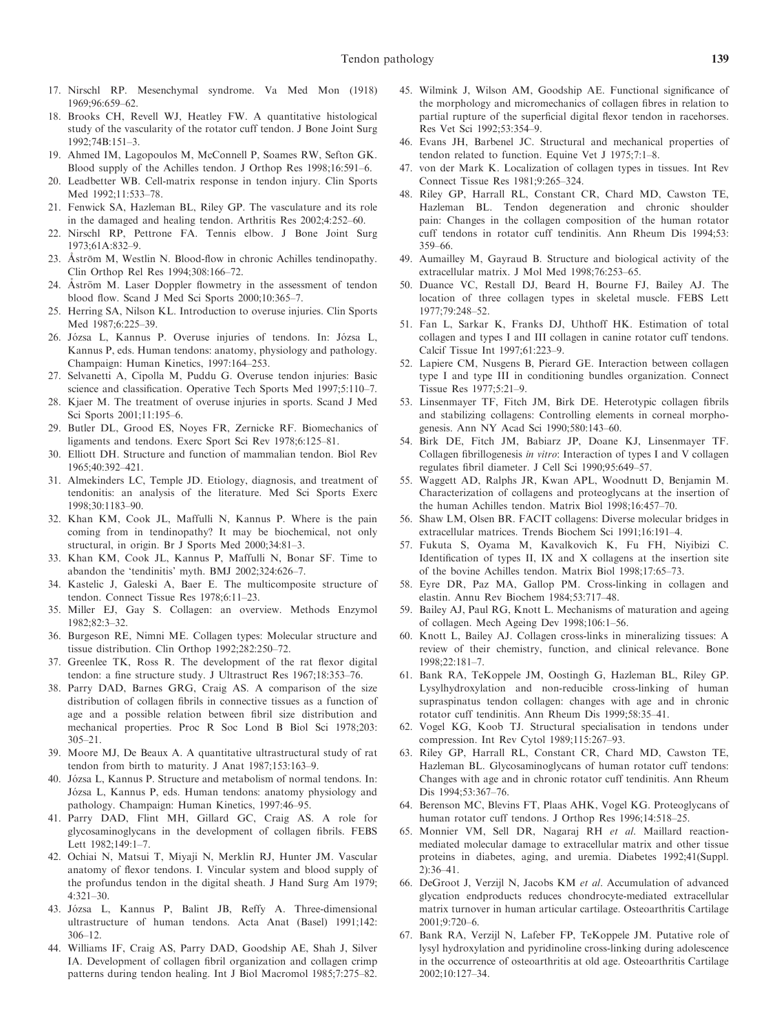- 17. Nirschl RP. Mesenchymal syndrome. Va Med Mon (1918) 1969;96:659–62.
- 18. Brooks CH, Revell WJ, Heatley FW. A quantitative histological study of the vascularity of the rotator cuff tendon. J Bone Joint Surg 1992;74B:151–3.
- 19. Ahmed IM, Lagopoulos M, McConnell P, Soames RW, Sefton GK. Blood supply of the Achilles tendon. J Orthop Res 1998;16:591–6.
- 20. Leadbetter WB. Cell-matrix response in tendon injury. Clin Sports Med 1992;11:533–78.
- 21. Fenwick SA, Hazleman BL, Riley GP. The vasculature and its role in the damaged and healing tendon. Arthritis Res 2002;4:252–60.
- 22. Nirschl RP, Pettrone FA. Tennis elbow. J Bone Joint Surg  $1973.61A.832-9$
- 23. Aström M, Westlin N. Blood-flow in chronic Achilles tendinopathy. Clin Orthop Rel Res 1994;308:166–72.
- 24. Åström M. Laser Doppler flowmetry in the assessment of tendon blood flow. Scand J Med Sci Sports 2000;10:365–7.
- 25. Herring SA, Nilson KL. Introduction to overuse injuries. Clin Sports Med 1987;6:225–39.
- 26. Józsa L, Kannus P. Overuse injuries of tendons. In: Józsa L, Kannus P, eds. Human tendons: anatomy, physiology and pathology. Champaign: Human Kinetics, 1997:164–253.
- 27. Selvanetti A, Cipolla M, Puddu G. Overuse tendon injuries: Basic science and classification. Operative Tech Sports Med 1997;5:110–7.
- 28. Kjaer M. The treatment of overuse injuries in sports. Scand J Med Sci Sports 2001;11:195–6.
- 29. Butler DL, Grood ES, Noyes FR, Zernicke RF. Biomechanics of ligaments and tendons. Exerc Sport Sci Rev 1978;6:125–81.
- 30. Elliott DH. Structure and function of mammalian tendon. Biol Rev 1965;40:392–421.
- 31. Almekinders LC, Temple JD. Etiology, diagnosis, and treatment of tendonitis: an analysis of the literature. Med Sci Sports Exerc 1998;30:1183–90.
- 32. Khan KM, Cook JL, Maffulli N, Kannus P. Where is the pain coming from in tendinopathy? It may be biochemical, not only structural, in origin. Br J Sports Med 2000;34:81–3.
- 33. Khan KM, Cook JL, Kannus P, Maffulli N, Bonar SF. Time to abandon the 'tendinitis' myth. BMJ 2002;324:626–7.
- 34. Kastelic J, Galeski A, Baer E. The multicomposite structure of tendon. Connect Tissue Res 1978;6:11–23.
- 35. Miller EJ, Gay S. Collagen: an overview. Methods Enzymol 1982;82:3–32.
- 36. Burgeson RE, Nimni ME. Collagen types: Molecular structure and tissue distribution. Clin Orthop 1992;282:250–72.
- 37. Greenlee TK, Ross R. The development of the rat flexor digital tendon: a fine structure study. J Ultrastruct Res 1967;18:353–76.
- 38. Parry DAD, Barnes GRG, Craig AS. A comparison of the size distribution of collagen fibrils in connective tissues as a function of age and a possible relation between fibril size distribution and mechanical properties. Proc R Soc Lond B Biol Sci 1978;203: 305–21.
- 39. Moore MJ, De Beaux A. A quantitative ultrastructural study of rat tendon from birth to maturity. J Anat 1987;153:163–9.
- 40. Józsa L, Kannus P. Structure and metabolism of normal tendons. In: Józsa L, Kannus P, eds. Human tendons: anatomy physiology and pathology. Champaign: Human Kinetics, 1997:46–95.
- 41. Parry DAD, Flint MH, Gillard GC, Craig AS. A role for glycosaminoglycans in the development of collagen fibrils. FEBS Lett 1982;149:1–7.
- 42. Ochiai N, Matsui T, Miyaji N, Merklin RJ, Hunter JM. Vascular anatomy of flexor tendons. I. Vincular system and blood supply of the profundus tendon in the digital sheath. J Hand Surg Am 1979; 4:321–30.
- 43. Józsa L, Kannus P, Balint JB, Reffy A. Three-dimensional ultrastructure of human tendons. Acta Anat (Basel) 1991;142: 306–12.
- 44. Williams IF, Craig AS, Parry DAD, Goodship AE, Shah J, Silver IA. Development of collagen fibril organization and collagen crimp patterns during tendon healing. Int J Biol Macromol 1985;7:275–82.
- 45. Wilmink J, Wilson AM, Goodship AE. Functional significance of the morphology and micromechanics of collagen fibres in relation to partial rupture of the superficial digital flexor tendon in racehorses. Res Vet Sci 1992;53:354–9.
- 46. Evans JH, Barbenel JC. Structural and mechanical properties of tendon related to function. Equine Vet J 1975;7:1–8.
- 47. von der Mark K. Localization of collagen types in tissues. Int Rev Connect Tissue Res 1981;9:265–324.
- 48. Riley GP, Harrall RL, Constant CR, Chard MD, Cawston TE, Hazleman BL. Tendon degeneration and chronic shoulder pain: Changes in the collagen composition of the human rotator cuff tendons in rotator cuff tendinitis. Ann Rheum Dis 1994;53: 359–66.
- 49. Aumailley M, Gayraud B. Structure and biological activity of the extracellular matrix. J Mol Med 1998;76:253–65.
- 50. Duance VC, Restall DJ, Beard H, Bourne FJ, Bailey AJ. The location of three collagen types in skeletal muscle. FEBS Lett 1977;79:248–52.
- 51. Fan L, Sarkar K, Franks DJ, Uhthoff HK. Estimation of total collagen and types I and III collagen in canine rotator cuff tendons. Calcif Tissue Int 1997;61:223–9.
- 52. Lapiere CM, Nusgens B, Pierard GE. Interaction between collagen type I and type III in conditioning bundles organization. Connect Tissue Res 1977;5:21–9.
- 53. Linsenmayer TF, Fitch JM, Birk DE. Heterotypic collagen fibrils and stabilizing collagens: Controlling elements in corneal morphogenesis. Ann NY Acad Sci 1990;580:143–60.
- 54. Birk DE, Fitch JM, Babiarz JP, Doane KJ, Linsenmayer TF. Collagen fibrillogenesis in vitro: Interaction of types I and V collagen regulates fibril diameter. J Cell Sci 1990;95:649–57.
- 55. Waggett AD, Ralphs JR, Kwan APL, Woodnutt D, Benjamin M. Characterization of collagens and proteoglycans at the insertion of the human Achilles tendon. Matrix Biol 1998;16:457–70.
- 56. Shaw LM, Olsen BR. FACIT collagens: Diverse molecular bridges in extracellular matrices. Trends Biochem Sci 1991;16:191–4.
- 57. Fukuta S, Oyama M, Kavalkovich K, Fu FH, Niyibizi C. Identification of types II, IX and X collagens at the insertion site of the bovine Achilles tendon. Matrix Biol 1998;17:65–73.
- 58. Eyre DR, Paz MA, Gallop PM. Cross-linking in collagen and elastin. Annu Rev Biochem 1984;53:717–48.
- 59. Bailey AJ, Paul RG, Knott L. Mechanisms of maturation and ageing of collagen. Mech Ageing Dev 1998;106:1–56.
- 60. Knott L, Bailey AJ. Collagen cross-links in mineralizing tissues: A review of their chemistry, function, and clinical relevance. Bone 1998;22:181–7.
- 61. Bank RA, TeKoppele JM, Oostingh G, Hazleman BL, Riley GP. Lysylhydroxylation and non-reducible cross-linking of human supraspinatus tendon collagen: changes with age and in chronic rotator cuff tendinitis. Ann Rheum Dis 1999;58:35–41.
- 62. Vogel KG, Koob TJ. Structural specialisation in tendons under compression. Int Rev Cytol 1989;115:267–93.
- 63. Riley GP, Harrall RL, Constant CR, Chard MD, Cawston TE, Hazleman BL. Glycosaminoglycans of human rotator cuff tendons: Changes with age and in chronic rotator cuff tendinitis. Ann Rheum Dis 1994:53:367-76.
- 64. Berenson MC, Blevins FT, Plaas AHK, Vogel KG. Proteoglycans of human rotator cuff tendons. J Orthop Res 1996;14:518–25.
- 65. Monnier VM, Sell DR, Nagaraj RH et al. Maillard reactionmediated molecular damage to extracellular matrix and other tissue proteins in diabetes, aging, and uremia. Diabetes 1992;41(Suppl. 2):36–41.
- 66. DeGroot J, Verzijl N, Jacobs KM et al. Accumulation of advanced glycation endproducts reduces chondrocyte-mediated extracellular matrix turnover in human articular cartilage. Osteoarthritis Cartilage 2001;9:720–6.
- 67. Bank RA, Verzijl N, Lafeber FP, TeKoppele JM. Putative role of lysyl hydroxylation and pyridinoline cross-linking during adolescence in the occurrence of osteoarthritis at old age. Osteoarthritis Cartilage 2002;10:127–34.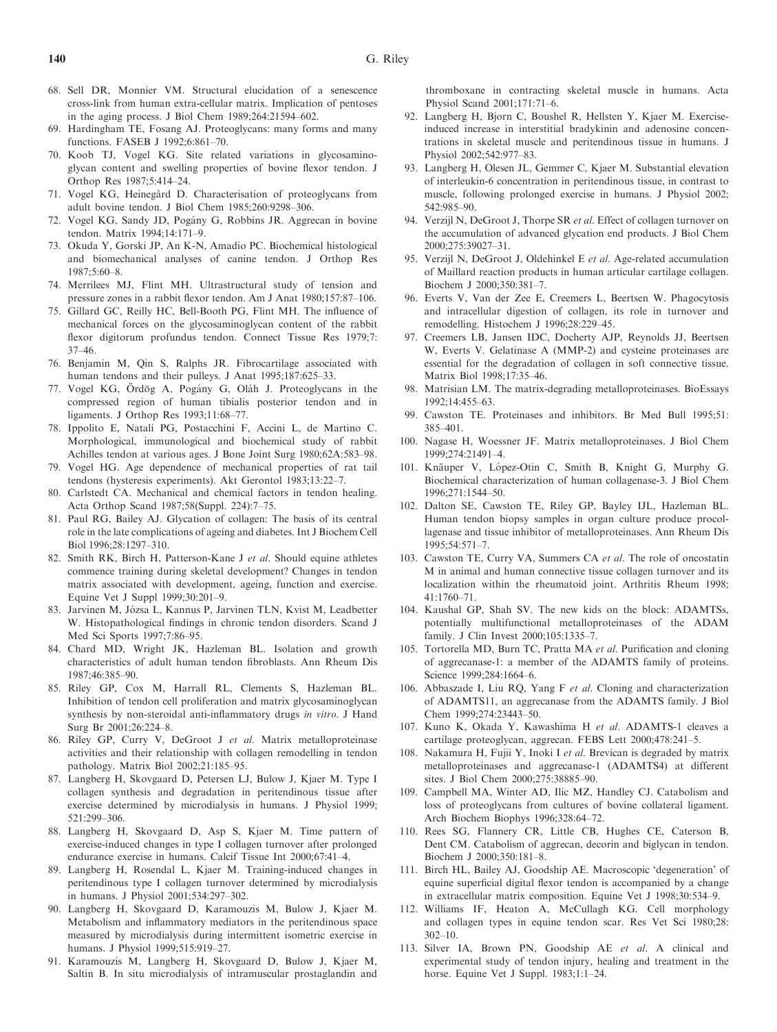- 68. Sell DR, Monnier VM. Structural elucidation of a senescence cross-link from human extra-cellular matrix. Implication of pentoses in the aging process. J Biol Chem 1989;264:21594–602.
- 69. Hardingham TE, Fosang AJ. Proteoglycans: many forms and many functions. FASEB J 1992;6:861–70.
- 70. Koob TJ, Vogel KG. Site related variations in glycosaminoglycan content and swelling properties of bovine flexor tendon. J Orthop Res 1987;5:414–24.
- 71. Vogel KG, Heinegård D. Characterisation of proteoglycans from adult bovine tendon. J Biol Chem 1985;260:9298–306.
- 72. Vogel KG, Sandy JD, Pogány G, Robbins JR. Aggrecan in bovine tendon. Matrix 1994;14:171–9.
- 73. Okuda Y, Gorski JP, An K-N, Amadio PC. Biochemical histological and biomechanical analyses of canine tendon. J Orthop Res 1987;5:60–8.
- 74. Merrilees MJ, Flint MH. Ultrastructural study of tension and pressure zones in a rabbit flexor tendon. Am J Anat 1980;157:87–106.
- 75. Gillard GC, Reilly HC, Bell-Booth PG, Flint MH. The influence of mechanical forces on the glycosaminoglycan content of the rabbit flexor digitorum profundus tendon. Connect Tissue Res 1979;7: 37–46.
- 76. Benjamin M, Qin S, Ralphs JR. Fibrocartilage associated with human tendons and their pulleys. J Anat 1995;187:625–33.
- 77. Vogel KG, Ördög A, Pogány G, Oláh J. Proteoglycans in the compressed region of human tibialis posterior tendon and in ligaments. J Orthop Res 1993;11:68–77.
- 78. Ippolito E, Natali PG, Postacchini F, Accini L, de Martino C. Morphological, immunological and biochemical study of rabbit Achilles tendon at various ages. J Bone Joint Surg 1980;62A:583–98.
- 79. Vogel HG. Age dependence of mechanical properties of rat tail tendons (hysteresis experiments). Akt Gerontol 1983;13:22–7.
- 80. Carlstedt CA. Mechanical and chemical factors in tendon healing. Acta Orthop Scand 1987;58(Suppl. 224):7–75.
- 81. Paul RG, Bailey AJ. Glycation of collagen: The basis of its central role in the late complications of ageing and diabetes. Int J Biochem Cell Biol 1996;28:1297–310.
- 82. Smith RK, Birch H, Patterson-Kane J et al. Should equine athletes commence training during skeletal development? Changes in tendon matrix associated with development, ageing, function and exercise. Equine Vet J Suppl 1999;30:201–9.
- 83. Jarvinen M, Józsa L, Kannus P, Jarvinen TLN, Kvist M, Leadbetter W. Histopathological findings in chronic tendon disorders. Scand J Med Sci Sports 1997;7:86–95.
- 84. Chard MD, Wright JK, Hazleman BL. Isolation and growth characteristics of adult human tendon fibroblasts. Ann Rheum Dis 1987;46:385–90.
- 85. Riley GP, Cox M, Harrall RL, Clements S, Hazleman BL. Inhibition of tendon cell proliferation and matrix glycosaminoglycan synthesis by non-steroidal anti-inflammatory drugs in vitro. J Hand Surg Br 2001;26:224–8.
- 86. Riley GP, Curry V, DeGroot J et al. Matrix metalloproteinase activities and their relationship with collagen remodelling in tendon pathology. Matrix Biol 2002;21:185–95.
- 87. Langberg H, Skovgaard D, Petersen LJ, Bulow J, Kjaer M. Type I collagen synthesis and degradation in peritendinous tissue after exercise determined by microdialysis in humans. J Physiol 1999; 521:299–306.
- 88. Langberg H, Skovgaard D, Asp S, Kjaer M. Time pattern of exercise-induced changes in type I collagen turnover after prolonged endurance exercise in humans. Calcif Tissue Int 2000;67:41–4.
- 89. Langberg H, Rosendal L, Kjaer M. Training-induced changes in peritendinous type I collagen turnover determined by microdialysis in humans. J Physiol 2001;534:297–302.
- 90. Langberg H, Skovgaard D, Karamouzis M, Bulow J, Kjaer M. Metabolism and inflammatory mediators in the peritendinous space measured by microdialysis during intermittent isometric exercise in humans. J Physiol 1999;515:919–27.
- 91. Karamouzis M, Langberg H, Skovgaard D, Bulow J, Kjaer M, Saltin B. In situ microdialysis of intramuscular prostaglandin and

thromboxane in contracting skeletal muscle in humans. Acta Physiol Scand 2001;171:71–6.

- 92. Langberg H, Bjorn C, Boushel R, Hellsten Y, Kjaer M. Exerciseinduced increase in interstitial bradykinin and adenosine concentrations in skeletal muscle and peritendinous tissue in humans. J Physiol 2002;542:977–83.
- 93. Langberg H, Olesen JL, Gemmer C, Kjaer M. Substantial elevation of interleukin-6 concentration in peritendinous tissue, in contrast to muscle, following prolonged exercise in humans. J Physiol 2002; 542:985–90.
- 94. Verzijl N, DeGroot J, Thorpe SR et al. Effect of collagen turnover on the accumulation of advanced glycation end products. J Biol Chem 2000;275:39027–31.
- 95. Verzijl N, DeGroot J, Oldehinkel E et al. Age-related accumulation of Maillard reaction products in human articular cartilage collagen. Biochem J 2000;350:381–7.
- 96. Everts V, Van der Zee E, Creemers L, Beertsen W. Phagocytosis and intracellular digestion of collagen, its role in turnover and remodelling. Histochem J 1996;28:229–45.
- 97. Creemers LB, Jansen IDC, Docherty AJP, Reynolds JJ, Beertsen W, Everts V. Gelatinase A (MMP-2) and cysteine proteinases are essential for the degradation of collagen in soft connective tissue. Matrix Biol 1998;17:35–46.
- 98. Matrisian LM. The matrix-degrading metalloproteinases. BioEssays 1992;14:455–63.
- 99. Cawston TE. Proteinases and inhibitors. Br Med Bull 1995;51: 385–401.
- 100. Nagase H, Woessner JF. Matrix metalloproteinases. J Biol Chem 1999;274:21491–4.
- 101. Knäuper V, López-Otin C, Smith B, Knight G, Murphy G. Biochemical characterization of human collagenase-3. J Biol Chem 1996;271:1544–50.
- 102. Dalton SE, Cawston TE, Riley GP, Bayley IJL, Hazleman BL. Human tendon biopsy samples in organ culture produce procollagenase and tissue inhibitor of metalloproteinases. Ann Rheum Dis 1995;54:571–7.
- 103. Cawston TE, Curry VA, Summers CA et al. The role of oncostatin M in animal and human connective tissue collagen turnover and its localization within the rheumatoid joint. Arthritis Rheum 1998; 41:1760–71.
- 104. Kaushal GP, Shah SV. The new kids on the block: ADAMTSs, potentially multifunctional metalloproteinases of the ADAM family. J Clin Invest 2000;105:1335–7.
- 105. Tortorella MD, Burn TC, Pratta MA et al. Purification and cloning of aggrecanase-1: a member of the ADAMTS family of proteins. Science 1999;284:1664–6.
- 106. Abbaszade I, Liu RQ, Yang F et al. Cloning and characterization of ADAMTS11, an aggrecanase from the ADAMTS family. J Biol Chem 1999;274:23443–50.
- 107. Kuno K, Okada Y, Kawashima H et al. ADAMTS-1 cleaves a cartilage proteoglycan, aggrecan. FEBS Lett 2000;478:241–5.
- 108. Nakamura H, Fujii Y, Inoki I et al. Brevican is degraded by matrix metalloproteinases and aggrecanase-1 (ADAMTS4) at different sites. J Biol Chem 2000;275:38885–90.
- 109. Campbell MA, Winter AD, Ilic MZ, Handley CJ. Catabolism and loss of proteoglycans from cultures of bovine collateral ligament. Arch Biochem Biophys 1996;328:64–72.
- 110. Rees SG, Flannery CR, Little CB, Hughes CE, Caterson B, Dent CM. Catabolism of aggrecan, decorin and biglycan in tendon. Biochem J 2000;350:181–8.
- 111. Birch HL, Bailey AJ, Goodship AE. Macroscopic 'degeneration' of equine superficial digital flexor tendon is accompanied by a change in extracellular matrix composition. Equine Vet J 1998;30:534–9.
- 112. Williams IF, Heaton A, McCullagh KG. Cell morphology and collagen types in equine tendon scar. Res Vet Sci 1980;28: 302–10.
- 113. Silver IA, Brown PN, Goodship AE et al. A clinical and experimental study of tendon injury, healing and treatment in the horse. Equine Vet J Suppl. 1983;1:1–24.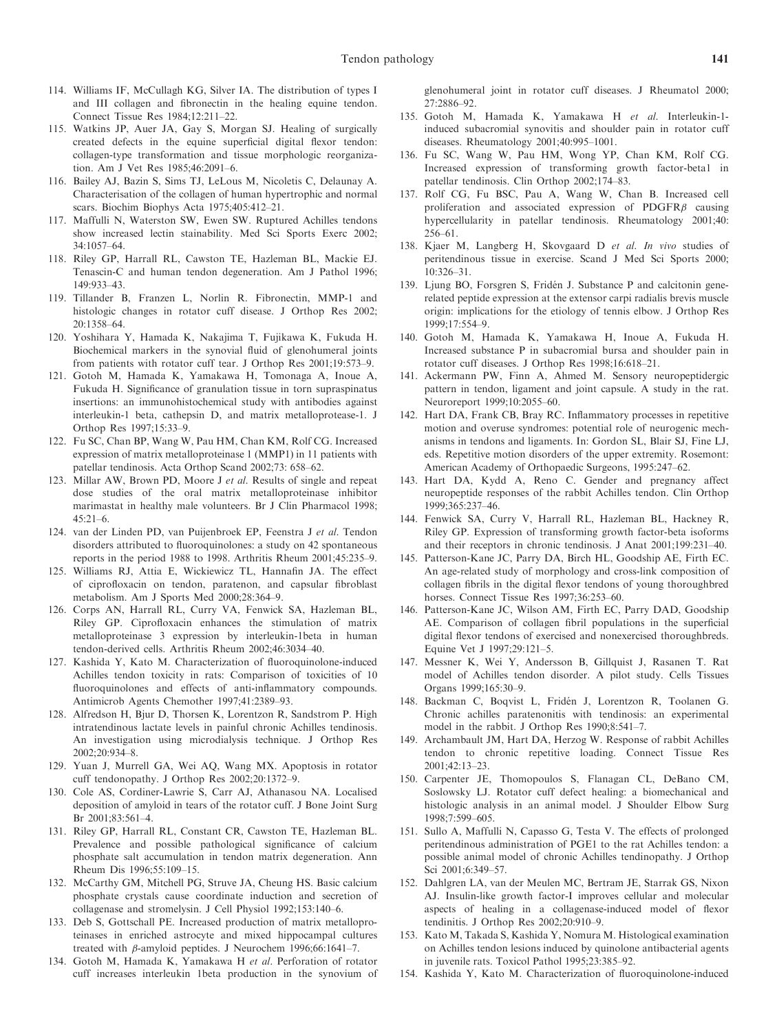- 114. Williams IF, McCullagh KG, Silver IA. The distribution of types I and III collagen and fibronectin in the healing equine tendon. Connect Tissue Res 1984;12:211–22.
- 115. Watkins JP, Auer JA, Gay S, Morgan SJ. Healing of surgically created defects in the equine superficial digital flexor tendon: collagen-type transformation and tissue morphologic reorganization. Am J Vet Res 1985;46:2091–6.
- 116. Bailey AJ, Bazin S, Sims TJ, LeLous M, Nicoletis C, Delaunay A. Characterisation of the collagen of human hypertrophic and normal scars. Biochim Biophys Acta 1975;405:412–21.
- 117. Maffulli N, Waterston SW, Ewen SW. Ruptured Achilles tendons show increased lectin stainability. Med Sci Sports Exerc 2002; 34:1057–64.
- 118. Riley GP, Harrall RL, Cawston TE, Hazleman BL, Mackie EJ. Tenascin-C and human tendon degeneration. Am J Pathol 1996; 149:933–43.
- 119. Tillander B, Franzen L, Norlin R. Fibronectin, MMP-1 and histologic changes in rotator cuff disease. J Orthop Res 2002; 20:1358–64.
- 120. Yoshihara Y, Hamada K, Nakajima T, Fujikawa K, Fukuda H. Biochemical markers in the synovial fluid of glenohumeral joints from patients with rotator cuff tear. J Orthop Res 2001;19:573–9.
- 121. Gotoh M, Hamada K, Yamakawa H, Tomonaga A, Inoue A, Fukuda H. Significance of granulation tissue in torn supraspinatus insertions: an immunohistochemical study with antibodies against interleukin-1 beta, cathepsin D, and matrix metalloprotease-1. J Orthop Res 1997;15:33–9.
- 122. Fu SC, Chan BP, Wang W, Pau HM, Chan KM, Rolf CG. Increased expression of matrix metalloproteinase 1 (MMP1) in 11 patients with patellar tendinosis. Acta Orthop Scand 2002;73: 658–62.
- 123. Millar AW, Brown PD, Moore J et al. Results of single and repeat dose studies of the oral matrix metalloproteinase inhibitor marimastat in healthy male volunteers. Br J Clin Pharmacol 1998; 45:21–6.
- 124. van der Linden PD, van Puijenbroek EP, Feenstra J et al. Tendon disorders attributed to fluoroquinolones: a study on 42 spontaneous reports in the period 1988 to 1998. Arthritis Rheum 2001;45:235–9.
- 125. Williams RJ, Attia E, Wickiewicz TL, Hannafin JA. The effect of ciprofloxacin on tendon, paratenon, and capsular fibroblast metabolism. Am J Sports Med 2000;28:364–9.
- 126. Corps AN, Harrall RL, Curry VA, Fenwick SA, Hazleman BL, Riley GP. Ciprofloxacin enhances the stimulation of matrix metalloproteinase 3 expression by interleukin-1beta in human tendon-derived cells. Arthritis Rheum 2002;46:3034–40.
- 127. Kashida Y, Kato M. Characterization of fluoroquinolone-induced Achilles tendon toxicity in rats: Comparison of toxicities of 10 fluoroquinolones and effects of anti-inflammatory compounds. Antimicrob Agents Chemother 1997;41:2389–93.
- 128. Alfredson H, Bjur D, Thorsen K, Lorentzon R, Sandstrom P. High intratendinous lactate levels in painful chronic Achilles tendinosis. An investigation using microdialysis technique. J Orthop Res 2002;20:934–8.
- 129. Yuan J, Murrell GA, Wei AQ, Wang MX. Apoptosis in rotator cuff tendonopathy. J Orthop Res 2002;20:1372–9.
- 130. Cole AS, Cordiner-Lawrie S, Carr AJ, Athanasou NA. Localised deposition of amyloid in tears of the rotator cuff. J Bone Joint Surg Br 2001;83:561–4.
- 131. Riley GP, Harrall RL, Constant CR, Cawston TE, Hazleman BL. Prevalence and possible pathological significance of calcium phosphate salt accumulation in tendon matrix degeneration. Ann Rheum Dis 1996;55:109–15.
- 132. McCarthy GM, Mitchell PG, Struve JA, Cheung HS. Basic calcium phosphate crystals cause coordinate induction and secretion of collagenase and stromelysin. J Cell Physiol 1992;153:140–6.
- 133. Deb S, Gottschall PE. Increased production of matrix metalloproteinases in enriched astrocyte and mixed hippocampal cultures treated with  $\beta$ -amyloid peptides. J Neurochem 1996;66:1641–7.
- 134. Gotoh M, Hamada K, Yamakawa H et al. Perforation of rotator cuff increases interleukin 1beta production in the synovium of

glenohumeral joint in rotator cuff diseases. J Rheumatol 2000; 27:2886–92.

- 135. Gotoh M, Hamada K, Yamakawa H et al. Interleukin-1 induced subacromial synovitis and shoulder pain in rotator cuff diseases. Rheumatology 2001;40:995–1001.
- 136. Fu SC, Wang W, Pau HM, Wong YP, Chan KM, Rolf CG. Increased expression of transforming growth factor-beta1 in patellar tendinosis. Clin Orthop 2002;174–83.
- 137. Rolf CG, Fu BSC, Pau A, Wang W, Chan B. Increased cell proliferation and associated expression of  $PDGFR\beta$  causing hypercellularity in patellar tendinosis. Rheumatology 2001;40: 256–61.
- 138. Kjaer M, Langberg H, Skovgaard D et al. In vivo studies of peritendinous tissue in exercise. Scand J Med Sci Sports 2000; 10:326–31.
- 139. Ljung BO, Forsgren S, Fridén J. Substance P and calcitonin generelated peptide expression at the extensor carpi radialis brevis muscle origin: implications for the etiology of tennis elbow. J Orthop Res  $1999 \cdot 17.554 - 9$
- 140. Gotoh M, Hamada K, Yamakawa H, Inoue A, Fukuda H. Increased substance P in subacromial bursa and shoulder pain in rotator cuff diseases. J Orthop Res 1998;16:618–21.
- 141. Ackermann PW, Finn A, Ahmed M. Sensory neuropeptidergic pattern in tendon, ligament and joint capsule. A study in the rat. Neuroreport 1999;10:2055–60.
- 142. Hart DA, Frank CB, Bray RC. Inflammatory processes in repetitive motion and overuse syndromes: potential role of neurogenic mechanisms in tendons and ligaments. In: Gordon SL, Blair SJ, Fine LJ, eds. Repetitive motion disorders of the upper extremity. Rosemont: American Academy of Orthopaedic Surgeons, 1995:247–62.
- 143. Hart DA, Kydd A, Reno C. Gender and pregnancy affect neuropeptide responses of the rabbit Achilles tendon. Clin Orthop 1999;365:237–46.
- 144. Fenwick SA, Curry V, Harrall RL, Hazleman BL, Hackney R, Riley GP. Expression of transforming growth factor-beta isoforms and their receptors in chronic tendinosis. J Anat 2001;199:231–40.
- 145. Patterson-Kane JC, Parry DA, Birch HL, Goodship AE, Firth EC. An age-related study of morphology and cross-link composition of collagen fibrils in the digital flexor tendons of young thoroughbred horses. Connect Tissue Res 1997;36:253–60.
- 146. Patterson-Kane JC, Wilson AM, Firth EC, Parry DAD, Goodship AE. Comparison of collagen fibril populations in the superficial digital flexor tendons of exercised and nonexercised thoroughbreds. Equine Vet J 1997;29:121–5.
- 147. Messner K, Wei Y, Andersson B, Gillquist J, Rasanen T. Rat model of Achilles tendon disorder. A pilot study. Cells Tissues Organs 1999;165:30–9.
- 148. Backman C, Boqvist L, Fridén J, Lorentzon R, Toolanen G. Chronic achilles paratenonitis with tendinosis: an experimental model in the rabbit. J Orthop Res 1990;8:541–7.
- 149. Archambault JM, Hart DA, Herzog W. Response of rabbit Achilles tendon to chronic repetitive loading. Connect Tissue Res 2001;42:13–23.
- 150. Carpenter JE, Thomopoulos S, Flanagan CL, DeBano CM, Soslowsky LJ. Rotator cuff defect healing: a biomechanical and histologic analysis in an animal model. J Shoulder Elbow Surg 1998;7:599–605.
- 151. Sullo A, Maffulli N, Capasso G, Testa V. The effects of prolonged peritendinous administration of PGE1 to the rat Achilles tendon: a possible animal model of chronic Achilles tendinopathy. J Orthop Sci 2001;6:349–57.
- 152. Dahlgren LA, van der Meulen MC, Bertram JE, Starrak GS, Nixon AJ. Insulin-like growth factor-I improves cellular and molecular aspects of healing in a collagenase-induced model of flexor tendinitis. J Orthop Res 2002;20:910–9.
- 153. Kato M, Takada S, Kashida Y, Nomura M. Histological examination on Achilles tendon lesions induced by quinolone antibacterial agents in juvenile rats. Toxicol Pathol 1995;23:385–92.
- 154. Kashida Y, Kato M. Characterization of fluoroquinolone-induced